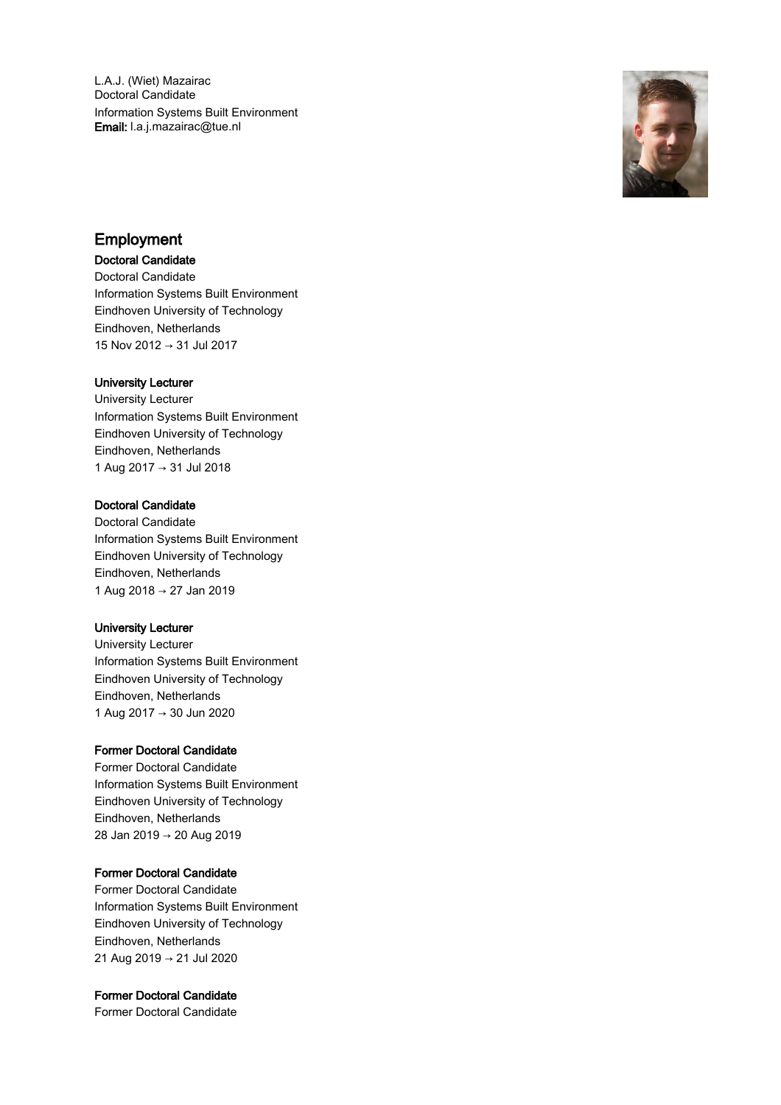L.A.J. (Wiet) Mazairac Doctoral Candidate Information Systems Built Environment Email: l.a.j.mazairac@tue.nl



# Employment

## Doctoral Candidate

Doctoral Candidate Information Systems Built Environment Eindhoven University of Technology Eindhoven, Netherlands 15 Nov 2012 → 31 Jul 2017

## University Lecturer

University Lecturer Information Systems Built Environment Eindhoven University of Technology Eindhoven, Netherlands 1 Aug 2017 → 31 Jul 2018

## Doctoral Candidate

Doctoral Candidate Information Systems Built Environment Eindhoven University of Technology Eindhoven, Netherlands 1 Aug 2018 → 27 Jan 2019

## University Lecturer

University Lecturer Information Systems Built Environment Eindhoven University of Technology Eindhoven, Netherlands 1 Aug 2017 → 30 Jun 2020

## Former Doctoral Candidate

Former Doctoral Candidate Information Systems Built Environment Eindhoven University of Technology Eindhoven, Netherlands 28 Jan 2019 → 20 Aug 2019

## Former Doctoral Candidate

Former Doctoral Candidate Information Systems Built Environment Eindhoven University of Technology Eindhoven, Netherlands 21 Aug 2019 → 21 Jul 2020

## Former Doctoral Candidate

Former Doctoral Candidate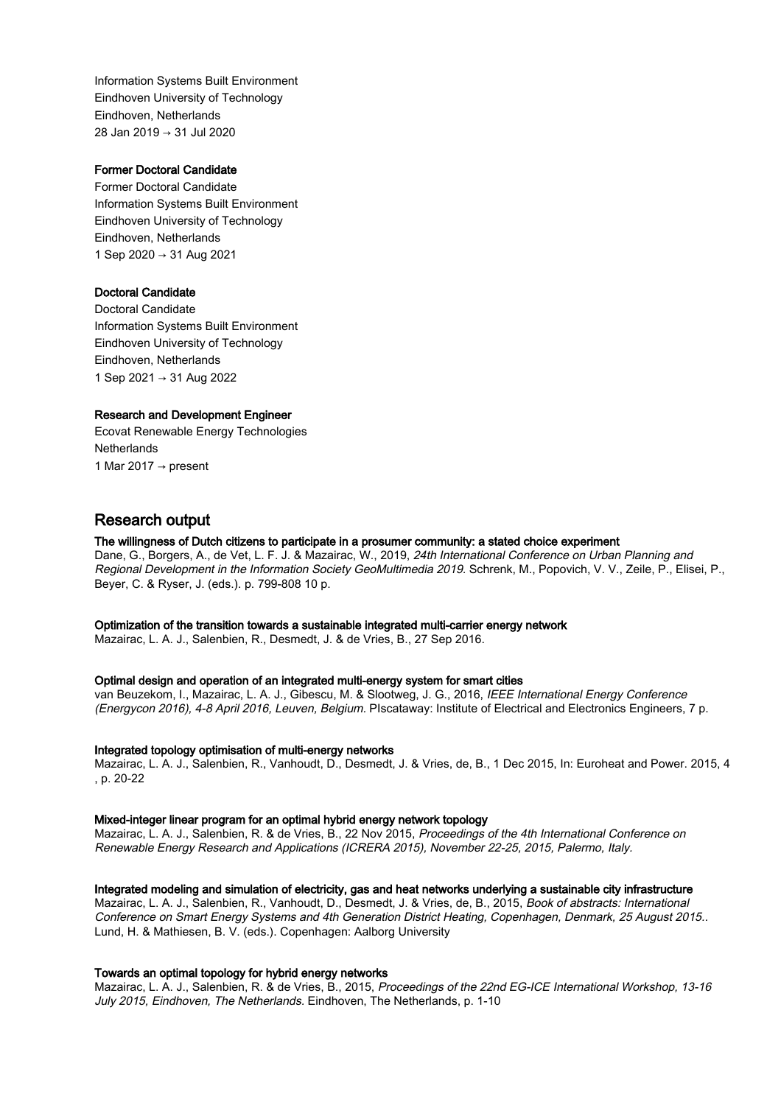Information Systems Built Environment Eindhoven University of Technology Eindhoven, Netherlands 28 Jan 2019 → 31 Jul 2020

## Former Doctoral Candidate

Former Doctoral Candidate Information Systems Built Environment Eindhoven University of Technology Eindhoven, Netherlands 1 Sep 2020 → 31 Aug 2021

## Doctoral Candidate

Doctoral Candidate Information Systems Built Environment Eindhoven University of Technology Eindhoven, Netherlands 1 Sep 2021 → 31 Aug 2022

#### Research and Development Engineer

Ecovat Renewable Energy Technologies **Netherlands** 1 Mar 2017  $\rightarrow$  present

# Research output

## The willingness of Dutch citizens to participate in a prosumer community: a stated choice experiment

Dane, G., Borgers, A., de Vet, L. F. J. & Mazairac, W., 2019, 24th International Conference on Urban Planning and Regional Development in the Information Society GeoMultimedia 2019. Schrenk, M., Popovich, V. V., Zeile, P., Elisei, P., Beyer, C. & Ryser, J. (eds.). p. 799-808 10 p.

## Optimization of the transition towards a sustainable integrated multi-carrier energy network

Mazairac, L. A. J., Salenbien, R., Desmedt, J. & de Vries, B., 27 Sep 2016.

#### Optimal design and operation of an integrated multi-energy system for smart cities

van Beuzekom, I., Mazairac, L. A. J., Gibescu, M. & Slootweg, J. G., 2016, IEEE International Energy Conference (Energycon 2016), 4-8 April 2016, Leuven, Belgium. PIscataway: Institute of Electrical and Electronics Engineers, 7 p.

#### Integrated topology optimisation of multi-energy networks

Mazairac, L. A. J., Salenbien, R., Vanhoudt, D., Desmedt, J. & Vries, de, B., 1 Dec 2015, In: Euroheat and Power. 2015, 4 , p. 20-22

#### Mixed-integer linear program for an optimal hybrid energy network topology

Mazairac, L. A. J., Salenbien, R. & de Vries, B., 22 Nov 2015, Proceedings of the 4th International Conference on Renewable Energy Research and Applications (ICRERA 2015), November 22-25, 2015, Palermo, Italy.

#### Integrated modeling and simulation of electricity, gas and heat networks underlying a sustainable city infrastructure

Mazairac, L. A. J., Salenbien, R., Vanhoudt, D., Desmedt, J. & Vries, de, B., 2015, Book of abstracts: International Conference on Smart Energy Systems and 4th Generation District Heating, Copenhagen, Denmark, 25 August 2015.. Lund, H. & Mathiesen, B. V. (eds.). Copenhagen: Aalborg University

## Towards an optimal topology for hybrid energy networks

Mazairac, L. A. J., Salenbien, R. & de Vries, B., 2015, Proceedings of the 22nd EG-ICE International Workshop, 13-16 July 2015, Eindhoven, The Netherlands. Eindhoven, The Netherlands, p. 1-10